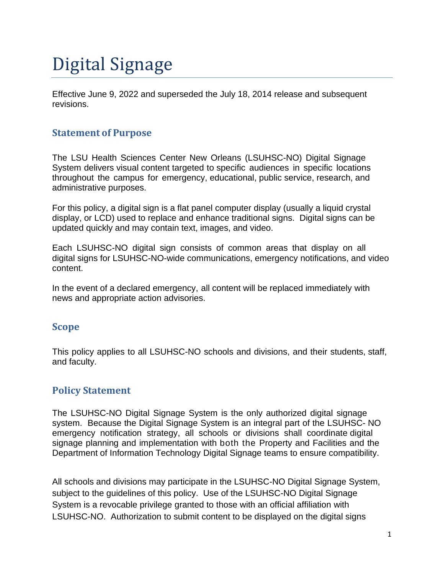# Digital Signage

Effective June 9, 2022 and superseded the July 18, 2014 release and subsequent revisions.

### **Statement of Purpose**

The LSU Health Sciences Center New Orleans (LSUHSC-NO) Digital Signage System delivers visual content targeted to specific audiences in specific locations throughout the campus for emergency, educational, public service, research, and administrative purposes.

For this policy, a digital sign is a flat panel computer display (usually a liquid crystal display, or LCD) used to replace and enhance traditional signs. Digital signs can be updated quickly and may contain text, images, and video.

Each LSUHSC-NO digital sign consists of common areas that display on all digital signs for LSUHSC-NO-wide communications, emergency notifications, and video content.

In the event of a declared emergency, all content will be replaced immediately with news and appropriate action advisories.

#### **Scope**

This policy applies to all LSUHSC-NO schools and divisions, and their students, staff, and faculty.

#### **Policy Statement**

The LSUHSC-NO Digital Signage System is the only authorized digital signage system. Because the Digital Signage System is an integral part of the LSUHSC- NO emergency notification strategy, all schools or divisions shall coordinate digital signage planning and implementation with both the Property and Facilities and the Department of Information Technology Digital Signage teams to ensure compatibility.

All schools and divisions may participate in the LSUHSC-NO Digital Signage System, subject to the guidelines of this policy. Use of the LSUHSC-NO Digital Signage System is a revocable privilege granted to those with an official affiliation with LSUHSC-NO. Authorization to submit content to be displayed on the digital signs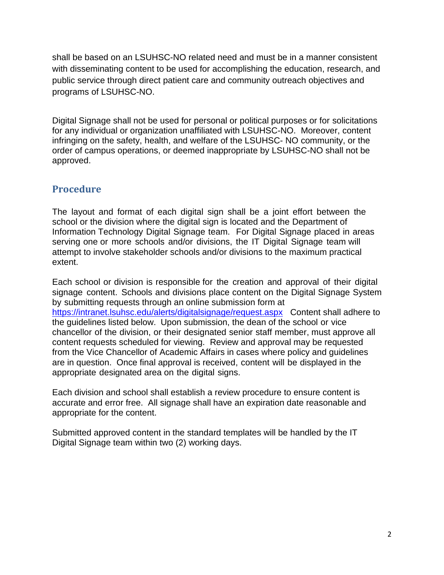shall be based on an LSUHSC-NO related need and must be in a manner consistent with disseminating content to be used for accomplishing the education, research, and public service through direct patient care and community outreach objectives and programs of LSUHSC-NO.

Digital Signage shall not be used for personal or political purposes or for solicitations for any individual or organization unaffiliated with LSUHSC-NO. Moreover, content infringing on the safety, health, and welfare of the LSUHSC- NO community, or the order of campus operations, or deemed inappropriate by LSUHSC-NO shall not be approved.

# **Procedure**

The layout and format of each digital sign shall be a joint effort between the school or the division where the digital sign is located and the Department of Information Technology Digital Signage team. For Digital Signage placed in areas serving one or more schools and/or divisions, the IT Digital Signage team will attempt to involve stakeholder schools and/or divisions to the maximum practical extent.

Each school or division is responsible for the creation and approval of their digital signage content. Schools and divisions place content on the Digital Signage System by submitting requests through an online submission form at <https://intranet.lsuhsc.edu/alerts/digitalsignage/request.aspx>Content shall adhere to the guidelines listed below. Upon submission, the dean of the school or vice chancellor of the division, or their designated senior staff member, must approve all content requests scheduled for viewing. Review and approval may be requested from the Vice Chancellor of Academic Affairs in cases where policy and guidelines are in question. Once final approval is received, content will be displayed in the appropriate designated area on the digital signs.

Each division and school shall establish a review procedure to ensure content is accurate and error free. All signage shall have an expiration date reasonable and appropriate for the content.

Submitted approved content in the standard templates will be handled by the IT Digital Signage team within two (2) working days.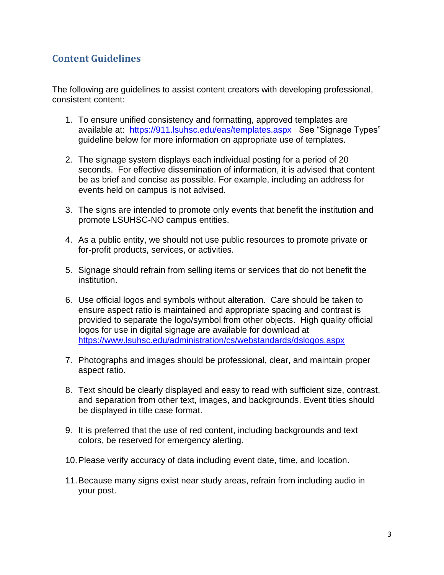# **Content Guidelines**

The following are guidelines to assist content creators with developing professional, consistent content:

- 1. To ensure unified consistency and formatting, approved templates are available at: <https://911.lsuhsc.edu/eas/templates.aspx>See "Signage Types" guideline below for more information on appropriate use of templates.
- 2. The signage system displays each individual posting for a period of 20 seconds. For effective dissemination of information, it is advised that content be as brief and concise as possible. For example, including an address for events held on campus is not advised.
- 3. The signs are intended to promote only events that benefit the institution and promote LSUHSC-NO campus entities.
- 4. As a public entity, we should not use public resources to promote private or for-profit products, services, or activities.
- 5. Signage should refrain from selling items or services that do not benefit the institution.
- 6. Use official logos and symbols without alteration. Care should be taken to ensure aspect ratio is maintained and appropriate spacing and contrast is provided to separate the logo/symbol from other objects. High quality official logos for use in digital signage are available for download at <https://www.lsuhsc.edu/administration/cs/webstandards/dslogos.aspx>
- 7. Photographs and images should be professional, clear, and maintain proper aspect ratio.
- 8. Text should be clearly displayed and easy to read with sufficient size, contrast, and separation from other text, images, and backgrounds. Event titles should be displayed in title case format.
- 9. It is preferred that the use of red content, including backgrounds and text colors, be reserved for emergency alerting.
- 10.Please verify accuracy of data including event date, time, and location.
- 11.Because many signs exist near study areas, refrain from including audio in your post.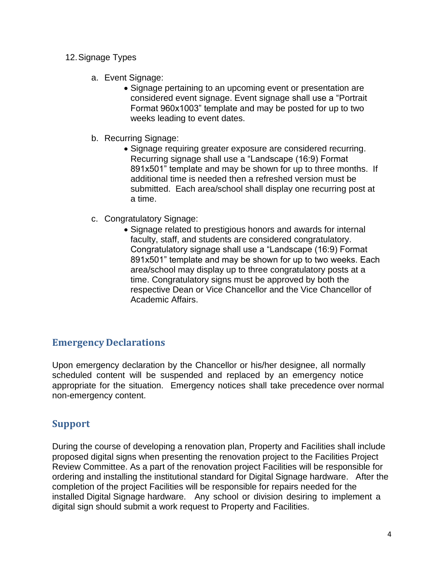- 12.Signage Types
	- a. Event Signage:
		- Signage pertaining to an upcoming event or presentation are considered event signage. Event signage shall use a "Portrait Format 960x1003" template and may be posted for up to two weeks leading to event dates.
	- b. Recurring Signage:
		- Signage requiring greater exposure are considered recurring. Recurring signage shall use a "Landscape (16:9) Format 891x501" template and may be shown for up to three months. If additional time is needed then a refreshed version must be submitted. Each area/school shall display one recurring post at a time.
	- c. Congratulatory Signage:
		- Signage related to prestigious honors and awards for internal faculty, staff, and students are considered congratulatory. Congratulatory signage shall use a "Landscape (16:9) Format 891x501" template and may be shown for up to two weeks. Each area/school may display up to three congratulatory posts at a time. Congratulatory signs must be approved by both the respective Dean or Vice Chancellor and the Vice Chancellor of Academic Affairs.

## **Emergency Declarations**

Upon emergency declaration by the Chancellor or his/her designee, all normally scheduled content will be suspended and replaced by an emergency notice appropriate for the situation. Emergency notices shall take precedence over normal non-emergency content.

## **Support**

During the course of developing a renovation plan, Property and Facilities shall include proposed digital signs when presenting the renovation project to the Facilities Project Review Committee. As a part of the renovation project Facilities will be responsible for ordering and installing the institutional standard for Digital Signage hardware. After the completion of the project Facilities will be responsible for repairs needed for the installed Digital Signage hardware. Any school or division desiring to implement a digital sign should submit a work request to Property and Facilities.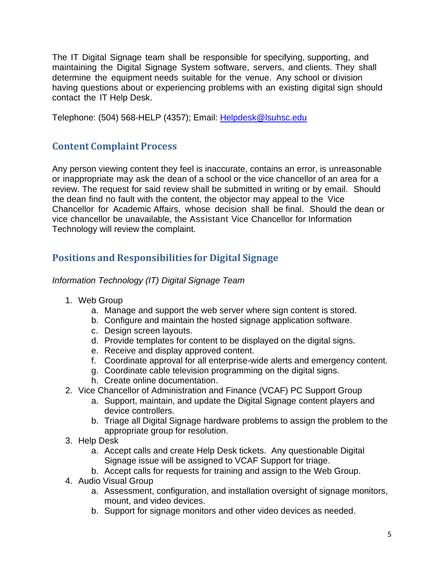The IT Digital Signage team shall be responsible for specifying, supporting, and maintaining the Digital Signage System software, servers, and clients. They shall determine the equipment needs suitable for the venue. Any school or division having questions about or experiencing problems with an existing digital sign should contact the IT Help Desk.

Telephone: (504) 568-HELP (4357); Email: [Helpdesk@lsuhsc.edu](mailto:Helpdesk@lsuhsc.edu)

# **Content Complaint Process**

Any person viewing content they feel is inaccurate, contains an error, is unreasonable or inappropriate may ask the dean of a school or the vice chancellor of an area for a review. The request for said review shall be submitted in writing or by email. Should the dean find no fault with the content, the objector may appeal to the Vice Chancellor for Academic Affairs, whose decision shall be final. Should the dean or vice chancellor be unavailable, the Assistant Vice Chancellor for Information Technology will review the complaint.

# **Positions and Responsibilities for Digital Signage**

*Information Technology (IT) Digital Signage Team*

- 1. Web Group
	- a. Manage and support the web server where sign content is stored.
	- b. Configure and maintain the hosted signage application software.
	- c. Design screen layouts.
	- d. Provide templates for content to be displayed on the digital signs.
	- e. Receive and display approved content.
	- f. Coordinate approval for all enterprise-wide alerts and emergency content.
	- g. Coordinate cable television programming on the digital signs.
	- h. Create online documentation.
- 2. Vice Chancellor of Administration and Finance (VCAF) PC Support Group
	- a. Support, maintain, and update the Digital Signage content players and device controllers.
	- b. Triage all Digital Signage hardware problems to assign the problem to the appropriate group for resolution.
- 3. Help Desk
	- a. Accept calls and create Help Desk tickets. Any questionable Digital Signage issue will be assigned to VCAF Support for triage.
	- b. Accept calls for requests for training and assign to the Web Group.
- 4. Audio Visual Group
	- a. Assessment, configuration, and installation oversight of signage monitors, mount, and video devices.
	- b. Support for signage monitors and other video devices as needed.